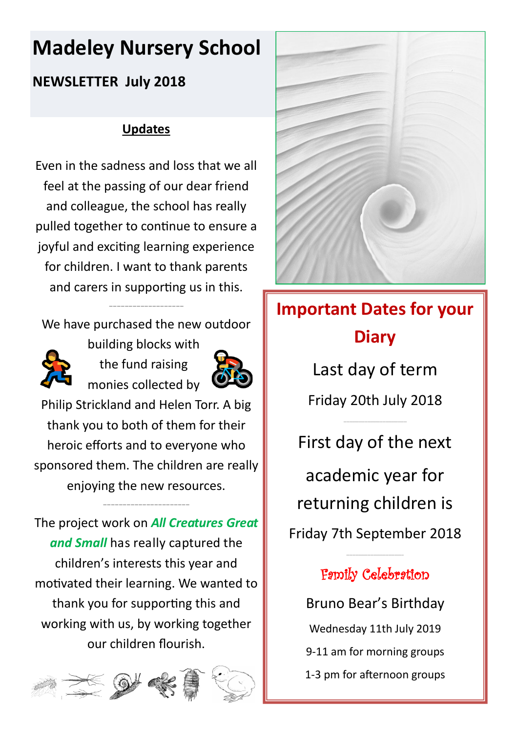# **Madeley Nursery School**

## **NEWSLETTER July 2018**

## **Updates**

Even in the sadness and loss that we all feel at the passing of our dear friend and colleague, the school has really pulled together to continue to ensure a joyful and exciting learning experience for children. I want to thank parents and carers in supporting us in this.

We have purchased the new outdoor

———————————————————



building blocks with the fund raising monies collected by



Philip Strickland and Helen Torr. A big thank you to both of them for their heroic efforts and to everyone who sponsored them. The children are really enjoying the new resources.

——————————————————————

The project work on *All Creatures Great and Small* has really captured the children's interests this year and motivated their learning. We wanted to thank you for supporting this and working with us, by working together our children flourish.





# **Important Dates for your Diary**

Last day of term Friday 20th July 2018

………………………………………………………

First day of the next academic year for returning children is Friday 7th September 2018

# Family Celebration

………………………………………………...

Bruno Bear's Birthday Wednesday 11th July 2019 9-11 am for morning groups 1-3 pm for afternoon groups